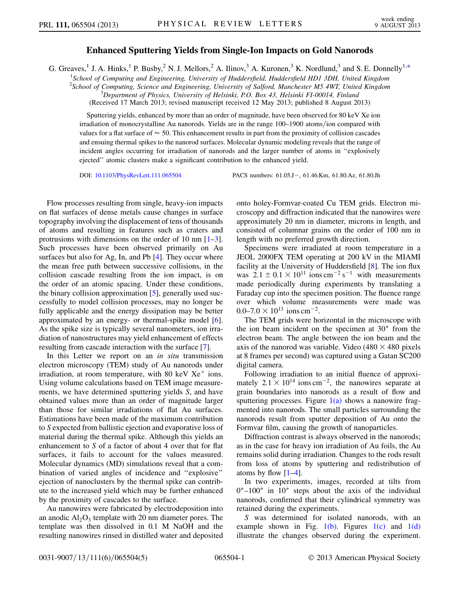## Enhanced Sputtering Yields from Single-Ion Impacts on Gold Nanorods

<span id="page-0-0"></span>G. Greaves,<sup>1</sup> J. A. Hinks,<sup>1</sup> P. Busby,<sup>2</sup> N. J. Mellors,<sup>2</sup> A. Ilinov,<sup>3</sup> A. Kuronen,<sup>3</sup> K. Nordlund,<sup>3</sup> and S. E. Donnelly<sup>1,[\\*](#page-3-0)</sup>

<sup>1</sup>School of Computing and Engineering, University of Huddersfield, Huddersfield HD1 3DH, United Kingdom

<sup>2</sup> School of Computing, Science and Engineering, University of Salford, Manchester M5 4WT, United Kingdom <sup>3</sup> Department of Physics, University of Helsinki, P.O. Box 43, Helsinki, FI 00014, Finland

 $^{3}$ Department of Physics, University of Helsinki, P.O. Box 43, Helsinki FI-00014, Finland

(Received 17 March 2013; revised manuscript received 12 May 2013; published 8 August 2013)

Sputtering yields, enhanced by more than an order of magnitude, have been observed for 80 keV Xe ion irradiation of monocrystalline Au nanorods. Yields are in the range 100–1900 atoms/ion compared with values for a flat surface of  $\approx$  50. This enhancement results in part from the proximity of collision cascades and ensuing thermal spikes to the nanorod surfaces. Molecular dynamic modeling reveals that the range of incident angles occurring for irradiation of nanorods and the larger number of atoms in ''explosively ejected'' atomic clusters make a significant contribution to the enhanced yield.

DOI: [10.1103/PhysRevLett.111.065504](http://dx.doi.org/10.1103/PhysRevLett.111.065504)

PACS numbers: 61.05.J-, 61.46.Km, 61.80.Az, 61.80.Jh

Flow processes resulting from single, heavy-ion impacts on flat surfaces of dense metals cause changes in surface topography involving the displacement of tens of thousands of atoms and resulting in features such as craters and protrusions with dimensions on the order of 10 nm [\[1](#page-3-1)–[3\]](#page-3-2). Such processes have been observed primarily on Au surfaces but also for Ag, In, and Pb [\[4](#page-3-3)]. They occur where the mean free path between successive collisions, in the collision cascade resulting from the ion impact, is on the order of an atomic spacing. Under these conditions, the binary collision approximation [[5\]](#page-3-4), generally used successfully to model collision processes, may no longer be fully applicable and the energy dissipation may be better approximated by an energy- or thermal-spike model [[6\]](#page-3-5). As the spike size is typically several nanometers, ion irradiation of nanostructures may yield enhancement of effects resulting from cascade interaction with the surface [\[7](#page-3-6)].

In this Letter we report on an in situ transmission electron microscopy (TEM) study of Au nanorods under irradiation, at room temperature, with 80 keV  $Xe^+$  ions. Using volume calculations based on TEM image measurements, we have determined sputtering yields S, and have obtained values more than an order of magnitude larger than those for similar irradiations of flat Au surfaces. Estimations have been made of the maximum contribution to S expected from ballistic ejection and evaporative loss of material during the thermal spike. Although this yields an enhancement to S of a factor of about 4 over that for flat surfaces, it fails to account for the values measured. Molecular dynamics (MD) simulations reveal that a combination of varied angles of incidence and ''explosive'' ejection of nanoclusters by the thermal spike can contribute to the increased yield which may be further enhanced by the proximity of cascades to the surface.

Au nanowires were fabricated by electrodeposition into an anodic  $Al_2O_3$  template with 20 nm diameter pores. The template was then dissolved in 0.1 M NaOH and the resulting nanowires rinsed in distilled water and deposited onto holey-Formvar-coated Cu TEM grids. Electron microscopy and diffraction indicated that the nanowires were approximately 20 nm in diameter, microns in length, and consisted of columnar grains on the order of 100 nm in length with no preferred growth direction.

Specimens were irradiated at room temperature in a JEOL 2000FX TEM operating at 200 kV in the MIAMI facility at the University of Huddersfield [[8\]](#page-4-0). The ion flux was  $2.1 \pm 0.1 \times 10^{11}$  ions cm<sup>-2</sup> s<sup>-1</sup> with measurements made periodically during experiments by translating a Faraday cup into the specimen position. The fluence range over which volume measurements were made was  $0.0-7.0 \times 10^{13}$  ions cm<sup>-2</sup>.

The TEM grids were horizontal in the microscope with the ion beam incident on the specimen at  $30^{\circ}$  from the electron beam. The angle between the ion beam and the axis of the nanorod was variable. Video (480  $\times$  480 pixels at 8 frames per second) was captured using a Gatan SC200 digital camera.

Following irradiation to an initial fluence of approximately  $2.1 \times 10^{14}$  ions cm<sup>-2</sup>, the nanowires separate at grain boundaries into nanorods as a result of flow and sputtering processes. Figure  $1(a)$  shows a nanowire fragmented into nanorods. The small particles surrounding the nanorods result from sputter deposition of Au onto the Formvar film, causing the growth of nanoparticles.

Diffraction contrast is always observed in the nanorods; as in the case for heavy ion irradiation of Au foils, the Au remains solid during irradiation. Changes to the rods result from loss of atoms by sputtering and redistribution of atoms by flow  $[1-4]$  $[1-4]$  $[1-4]$ .

In two experiments, images, recorded at tilts from  $0^{\circ}$ –100 $^{\circ}$  in 10 $^{\circ}$  steps about the axis of the individual nanorods, confirmed that their cylindrical symmetry was retained during the experiments.

S was determined for isolated nanorods, with an example shown in Fig.  $1(b)$ . Figures  $1(c)$  and  $1(d)$ illustrate the changes observed during the experiment.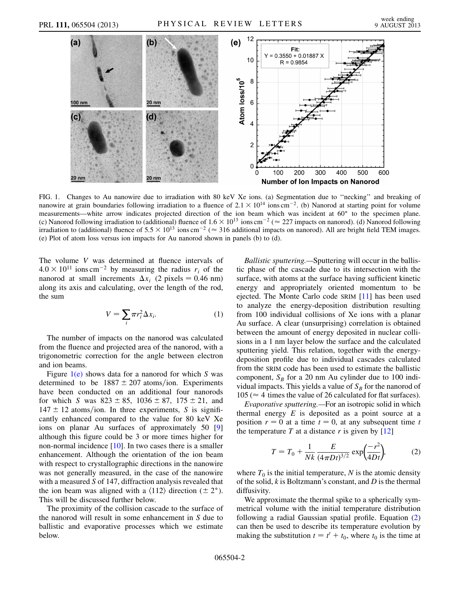

<span id="page-1-0"></span>FIG. 1. Changes to Au nanowire due to irradiation with 80 keV Xe ions. (a) Segmentation due to ''necking'' and breaking of nanowire at grain boundaries following irradiation to a fluence of  $2.1 \times 10^{14}$  ions cm<sup>-2</sup>. (b) Nanorod at starting point for volume measurements—white arrow indicates projected direction of the ion beam which was incident at  $60^\circ$  to the specimen plane. (c) Nanorod following irradiation to (additional) fluence of  $1.6 \times 10^{13}$  ions cm<sup>-2</sup> ( $\approx 227$  impacts on nanorod). (d) Nanorod following irradiation to (additional) fluence of  $5.5 \times 10^{13}$  ions cm<sup>-2</sup> ( $\approx 316$  additional impacts on nanorod). All are bright field TEM images. (e) Plot of atom loss versus ion impacts for Au nanorod shown in panels (b) to (d).

The volume V was determined at fluence intervals of  $4.0 \times 10^{11}$  ions cm<sup>-2</sup> by measuring the radius  $r_i$  of the nanorod at small increments  $\Delta x_i$  (2 pixels = 0.46 nm) along its axis and calculating, over the length of the rod, the sum

$$
V = \sum_{i} \pi r_i^2 \Delta x_i.
$$
 (1)

The number of impacts on the nanorod was calculated from the fluence and projected area of the nanorod, with a trigonometric correction for the angle between electron and ion beams.

Figure  $1(e)$  shows data for a nanorod for which S was determined to be  $1887 \pm 207$  atoms/ion. Experiments have been conducted on an additional four nanorods for which S was  $823 \pm 85$ ,  $1036 \pm 87$ ,  $175 \pm 21$ , and  $147 \pm 12$  atoms/ion. In three experiments, S is significantly enhanced compared to the value for 80 keV Xe ions on planar Au surfaces of approximately 50 [\[9\]](#page-4-1) although this figure could be 3 or more times higher for non-normal incidence [\[10\]](#page-4-2). In two cases there is a smaller enhancement. Although the orientation of the ion beam with respect to crystallographic directions in the nanowire was not generally measured, in the case of the nanowire with a measured S of 147, diffraction analysis revealed that the ion beam was aligned with a  $\langle 112 \rangle$  direction ( $\pm 2^{\circ}$ ). This will be discussed further below.

The proximity of the collision cascade to the surface of the nanorod will result in some enhancement in S due to ballistic and evaporative processes which we estimate below.

Ballistic sputtering.—Sputtering will occur in the ballistic phase of the cascade due to its intersection with the surface, with atoms at the surface having sufficient kinetic energy and appropriately oriented momentum to be ejected. The Monte Carlo code SRIM [\[11\]](#page-4-3) has been used to analyze the energy-deposition distribution resulting from 100 individual collisions of Xe ions with a planar Au surface. A clear (unsurprising) correlation is obtained between the amount of energy deposited in nuclear collisions in a 1 nm layer below the surface and the calculated sputtering yield. This relation, together with the energydeposition profile due to individual cascades calculated from the SRIM code has been used to estimate the ballistic component,  $S_B$  for a 20 nm Au cylinder due to 100 individual impacts. This yields a value of  $S_B$  for the nanorod of  $105 \approx 4$  times the value of 26 calculated for flat surfaces).

<span id="page-1-1"></span>Evaporative sputtering.—For an isotropic solid in which thermal energy  $E$  is deposited as a point source at a position  $r = 0$  at a time  $t = 0$ , at any subsequent time t the temperature T at a distance r is given by  $[12]$ 

$$
T = T_0 + \frac{1}{Nk} \frac{E}{(4\pi Dt)^{3/2}} \exp\left(\frac{-r^2}{4Dt}\right),\tag{2}
$$

where  $T_0$  is the initial temperature, N is the atomic density of the solid,  $k$  is Boltzmann's constant, and  $D$  is the thermal diffusivity.

We approximate the thermal spike to a spherically symmetrical volume with the initial temperature distribution following a radial Gaussian spatial profile. Equation [\(2\)](#page-1-1) can then be used to describe its temperature evolution by making the substitution  $t = t' + t_0$ , where  $t_0$  is the time at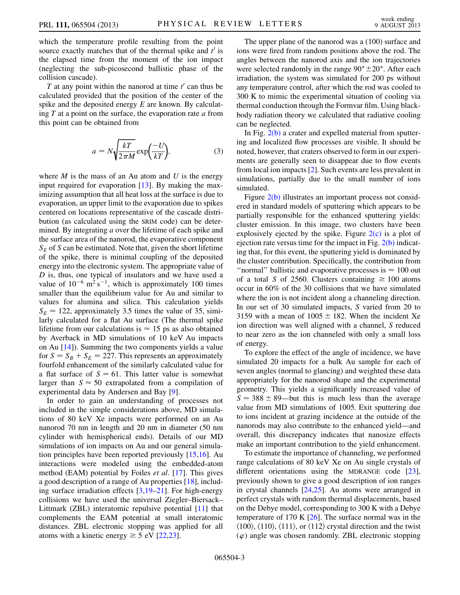which the temperature profile resulting from the point source exactly matches that of the thermal spike and  $t'$  is the elapsed time from the moment of the ion impact (neglecting the sub-picosecond ballistic phase of the collision cascade).

T at any point within the nanorod at time  $t'$  can thus be calculated provided that the position of the center of the spike and the deposited energy  $E$  are known. By calculating  $T$  at a point on the surface, the evaporation rate  $a$  from this point can be obtained from

$$
a = N \sqrt{\frac{kT}{2\pi M}} \exp\left(\frac{-U}{kT}\right),\tag{3}
$$

where  $M$  is the mass of an Au atom and U is the energy input required for evaporation  $[13]$  $[13]$  $[13]$ . By making the maximizing assumption that all heat loss at the surface is due to evaporation, an upper limit to the evaporation due to spikes centered on locations representative of the cascade distribution (as calculated using the SRIM code) can be determined. By integrating  $a$  over the lifetime of each spike and the surface area of the nanorod, the evaporative component  $S_E$  of S can be estimated. Note that, given the short lifetime of the spike, there is minimal coupling of the deposited energy into the electronic system. The appropriate value of D is, thus, one typical of insulators and we have used a value of  $10^{-6}$  m<sup>2</sup> s<sup>-1</sup>, which is approximately 100 times smaller than the equilibrium value for Au and similar to values for alumina and silica. This calculation yields  $S_E = 122$ , approximately 3.5 times the value of 35, similarly calculated for a flat Au surface (The thermal spike lifetime from our calculations is  $\approx 15$  ps as also obtained by Averback in MD simulations of 10 keV Au impacts on Au [\[14\]](#page-4-6)). Summing the two components yields a value for  $S = S_B + S_E = 227$ . This represents an approximately fourfold enhancement of the similarly calculated value for a flat surface of  $S = 61$ . This latter value is somewhat larger than  $S \approx 50$  extrapolated from a compilation of experimental data by Andersen and Bay [\[9\]](#page-4-1).

In order to gain an understanding of processes not included in the simple considerations above, MD simulations of 80 keV Xe impacts were performed on an Au nanorod 70 nm in length and 20 nm in diameter (50 nm cylinder with hemispherical ends). Details of our MD simulations of ion impacts on Au and our general simulation principles have been reported previously [\[15](#page-4-7)[,16\]](#page-4-8). Au interactions were modeled using the embedded-atom method (EAM) potential by Foiles et al. [[17](#page-4-9)]. This gives a good description of a range of Au properties [\[18\]](#page-4-10), including surface irradiation effects [[3](#page-3-2),[19](#page-4-11)[–21\]](#page-4-12). For high-energy collisions we have used the universal Ziegler–Biersack– Littmark (ZBL) interatomic repulsive potential [\[11](#page-4-3)] that complements the EAM potential at small interatomic distances. ZBL electronic stopping was applied for all atoms with a kinetic energy  $\geq 5$  eV [[22](#page-4-13),[23](#page-4-14)].

The upper plane of the nanorod was a (100) surface and ions were fired from random positions above the rod. The angles between the nanorod axis and the ion trajectories were selected randomly in the range  $90^{\circ} \pm 20^{\circ}$ . After each irradiation, the system was simulated for 200 ps without any temperature control, after which the rod was cooled to 300 K to mimic the experimental situation of cooling via thermal conduction through the Formvar film. Using blackbody radiation theory we calculated that radiative cooling can be neglected.

In Fig.  $2(b)$  a crater and expelled material from sputtering and localized flow processes are visible. It should be noted, however, that craters observed to form in our experiments are generally seen to disappear due to flow events from local ion impacts [[2\]](#page-3-8). Such events are less prevalent in simulations, partially due to the small number of ions simulated.

Figure [2\(b\)](#page-3-7) illustrates an important process not considered in standard models of sputtering which appears to be partially responsible for the enhanced sputtering yields: cluster emission. In this image, two clusters have been explosively ejected by the spike. Figure  $2(c)$  is a plot of ejection rate versus time for the impact in Fig.  $2(b)$  indicating that, for this event, the sputtering yield is dominated by the cluster contribution. Specifically, the contribution from "normal" ballistic and evaporative processes is  $\approx 100$  out of a total S of 2560. Clusters containing  $\geq 100$  atoms occur in 60% of the 30 collisions that we have simulated where the ion is not incident along a channeling direction. In our set of 30 simulated impacts, S varied from 20 to 3159 with a mean of  $1005 \pm 182$ . When the incident Xe ion direction was well aligned with a channel, S reduced to near zero as the ion channeled with only a small loss of energy.

To explore the effect of the angle of incidence, we have simulated 20 impacts for a bulk Au sample for each of seven angles (normal to glancing) and weighted these data appropriately for the nanorod shape and the experimental geometry. This yields a significantly increased value of  $S = 388 \pm 89$ —but this is much less than the average value from MD simulations of 1005. Exit sputtering due to ions incident at grazing incidence at the outside of the nanorods may also contribute to the enhanced yield—and overall, this discrepancy indicates that nanosize effects make an important contribution to the yield enhancement.

To estimate the importance of channeling, we performed range calculations of 80 keV Xe on Au single crystals of different orientations using the MDRANGE code [[23\]](#page-4-14), previously shown to give a good description of ion ranges in crystal channels [[24](#page-4-15),[25](#page-4-16)]. Au atoms were arranged in perfect crystals with random thermal displacements, based on the Debye model, corresponding to 300 K with a Debye temperature of 170 K  $[26]$ . The surface normal was in the  $\langle 100 \rangle$ ,  $\langle 110 \rangle$ ,  $\langle 111 \rangle$ , or  $\langle 112 \rangle$  crystal direction and the twist  $(\varphi)$  angle was chosen randomly. ZBL electronic stopping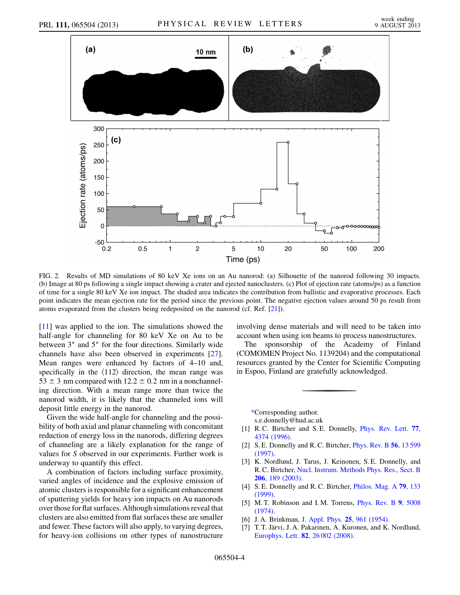

<span id="page-3-7"></span>FIG. 2. Results of MD simulations of 80 keV Xe ions on an Au nanorod: (a) Silhouette of the nanorod following 30 impacts. (b) Image at 80 ps following a single impact showing a crater and ejected nanoclusters. (c) Plot of ejection rate (atoms/ps) as a function of time for a single 80 keV Xe ion impact. The shaded area indicates the contribution from ballistic and evaporative processes. Each point indicates the mean ejection rate for the period since the previous point. The negative ejection values around 50 ps result from atoms evaporated from the clusters being redeposited on the nanorod (cf. Ref. [[21\]](#page-4-12)).

[\[11\]](#page-4-3) was applied to the ion. The simulations showed the half-angle for channeling for 80 keV Xe on Au to be between  $3^\circ$  and  $5^\circ$  for the four directions. Similarly wide channels have also been observed in experiments [\[27\]](#page-4-18). Mean ranges were enhanced by factors of 4–10 and, specifically in the  $\langle 112 \rangle$  direction, the mean range was  $53 \pm 3$  nm compared with  $12.2 \pm 0.2$  nm in a nonchanneling direction. With a mean range more than twice the nanorod width, it is likely that the channeled ions will deposit little energy in the nanorod.

Given the wide half-angle for channeling and the possibility of both axial and planar channeling with concomitant reduction of energy loss in the nanorods, differing degrees of channeling are a likely explanation for the range of values for S observed in our experiments. Further work is underway to quantify this effect.

A combination of factors including surface proximity, varied angles of incidence and the explosive emission of atomic clusters is responsible for a significant enhancement of sputtering yields for heavy ion impacts on Au nanorods over those for flat surfaces. Although simulations reveal that clusters are also emitted from flat surfaces these are smaller and fewer. These factors will also apply, to varying degrees, for heavy-ion collisions on other types of nanostructure involving dense materials and will need to be taken into account when using ion beams to process nanostructures.

The sponsorship of the Academy of Finland (COMOMEN Project No. 1139204) and the computational resources granted by the Center for Scientific Computing in Espoo, Finland are gratefully acknowledged.

<span id="page-3-0"></span>[\\*C](#page-0-0)orresponding author. s.e.donnelly@hud.ac.uk

- <span id="page-3-8"></span><span id="page-3-1"></span>[1] R.C. Birtcher and S.E. Donnelly, *[Phys. Rev. Lett.](http://dx.doi.org/10.1103/PhysRevLett.77.4374)* 77, [4374 \(1996\)](http://dx.doi.org/10.1103/PhysRevLett.77.4374).
- <span id="page-3-2"></span>[2] S. E. Donnelly and R. C. Birtcher, *[Phys. Rev. B](http://dx.doi.org/10.1103/PhysRevB.56.13599)* 56, 13599 [\(1997\)](http://dx.doi.org/10.1103/PhysRevB.56.13599).
- [3] K. Nordlund, J. Tarus, J. Keinonen, S. E. Donnelly, and R. C. Birtcher, [Nucl. Instrum. Methods Phys. Res., Sect. B](http://dx.doi.org/10.1016/S0168-583X(03)00724-9) 206[, 189 \(2003\).](http://dx.doi.org/10.1016/S0168-583X(03)00724-9)
- <span id="page-3-4"></span><span id="page-3-3"></span>[4] S. E. Donnelly and R. C. Birtcher, *[Philos. Mag. A](http://dx.doi.org/10.1080/01418619908214279)* **79**, 133 [\(1999\)](http://dx.doi.org/10.1080/01418619908214279).
- <span id="page-3-5"></span>[5] M. T. Robinson and I. M. Torrens, *[Phys. Rev. B](http://dx.doi.org/10.1103/PhysRevB.9.5008)* 9, 5008 [\(1974\)](http://dx.doi.org/10.1103/PhysRevB.9.5008).
- <span id="page-3-6"></span>[6] J. A. Brinkman, [J. Appl. Phys.](http://dx.doi.org/10.1063/1.1721810) 25, 961 (1954).
- [7] T. T. Järvi, J. A. Pakarinen, A. Kuronen, and K. Nordlund, [Europhys. Lett.](http://dx.doi.org/10.1209/0295-5075/82/26002) 82, 26 002 (2008).